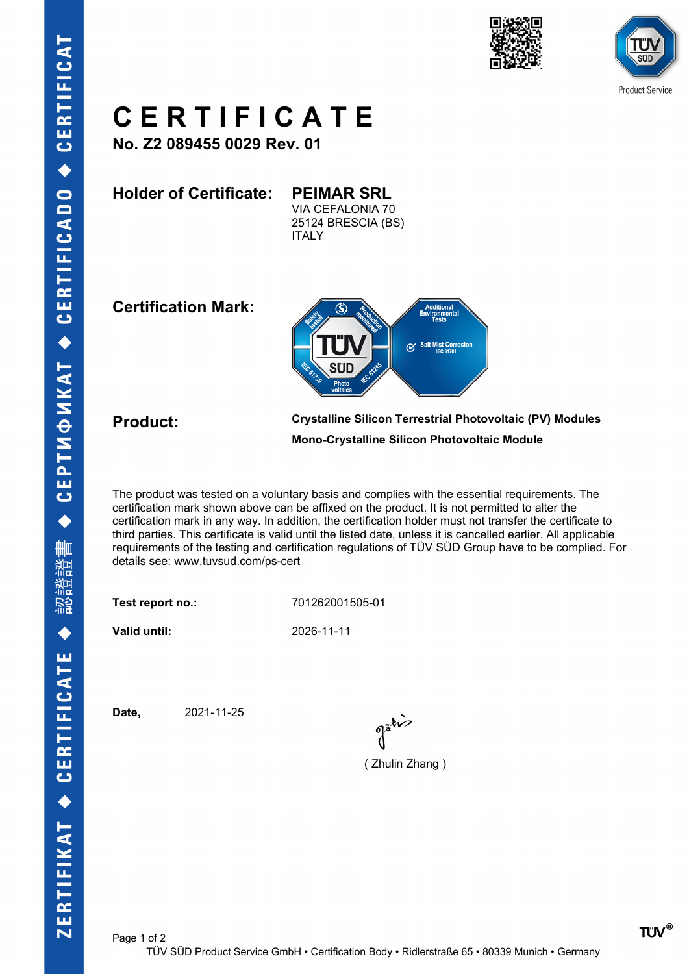





## **C E R T I F I C A T E**

**No. Z2 089455 0029 Rev. 01**

**Holder of Certificate: PEIMAR SRL**

VIA CEFALONIA 70 25124 BRESCIA (BS) **ITALY** 

**Certification Mark:**



**Product: Crystalline Silicon Terrestrial Photovoltaic (PV) Modules Mono-Crystalline Silicon Photovoltaic Module**

The product was tested on a voluntary basis and complies with the essential requirements. The certification mark shown above can be affixed on the product. It is not permitted to alter the certification mark in any way. In addition, the certification holder must not transfer the certificate to third parties. This certificate is valid until the listed date, unless it is cancelled earlier. All applicable requirements of the testing and certification regulations of TÜV SÜD Group have to be complied. For details see: www.tuvsud.com/ps-cert

**Test report no.:** 701262001505-01

**Valid until:** 2026-11-11

Page 1 of 2

**Date,** 2021-11-25

( Zhulin Zhang )